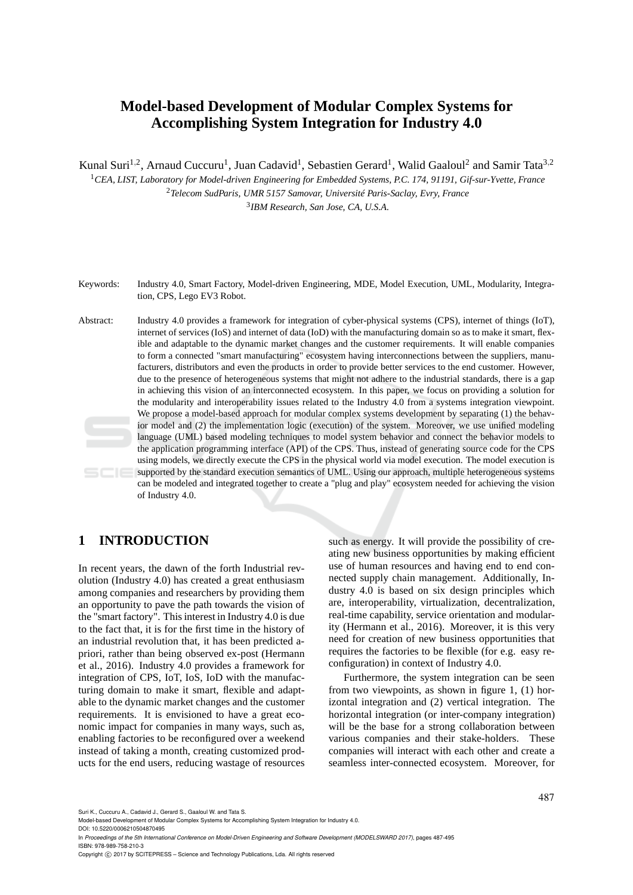# **Model-based Development of Modular Complex Systems for Accomplishing System Integration for Industry 4.0**

Kunal Suri<sup>1,2</sup>, Arnaud Cuccuru<sup>1</sup>, Juan Cadavid<sup>1</sup>, Sebastien Gerard<sup>1</sup>, Walid Gaaloul<sup>2</sup> and Samir Tata<sup>3,2</sup>

<sup>1</sup>*CEA, LIST, Laboratory for Model-driven Engineering for Embedded Systems, P.C. 174, 91191, Gif-sur-Yvette, France* <sup>2</sup>*Telecom SudParis, UMR 5157 Samovar, Université Paris-Saclay, Evry, France* 3 *IBM Research, San Jose, CA, U.S.A.*

Keywords: Industry 4.0, Smart Factory, Model-driven Engineering, MDE, Model Execution, UML, Modularity, Integration, CPS, Lego EV3 Robot.

Abstract: Industry 4.0 provides a framework for integration of cyber-physical systems (CPS), internet of things (IoT), internet of services (IoS) and internet of data (IoD) with the manufacturing domain so as to make it smart, flexible and adaptable to the dynamic market changes and the customer requirements. It will enable companies to form a connected "smart manufacturing" ecosystem having interconnections between the suppliers, manufacturers, distributors and even the products in order to provide better services to the end customer. However, due to the presence of heterogeneous systems that might not adhere to the industrial standards, there is a gap in achieving this vision of an interconnected ecosystem. In this paper, we focus on providing a solution for the modularity and interoperability issues related to the Industry 4.0 from a systems integration viewpoint. We propose a model-based approach for modular complex systems development by separating (1) the behavior model and (2) the implementation logic (execution) of the system. Moreover, we use unified modeling language (UML) based modeling techniques to model system behavior and connect the behavior models to the application programming interface (API) of the CPS. Thus, instead of generating source code for the CPS using models, we directly execute the CPS in the physical world via model execution. The model execution is supported by the standard execution semantics of UML. Using our approach, multiple heterogeneous systems can be modeled and integrated together to create a "plug and play" ecosystem needed for achieving the vision of Industry 4.0.

# **1 INTRODUCTION**

In recent years, the dawn of the forth Industrial revolution (Industry 4.0) has created a great enthusiasm among companies and researchers by providing them an opportunity to pave the path towards the vision of the "smart factory". This interest in Industry 4.0 is due to the fact that, it is for the first time in the history of an industrial revolution that, it has been predicted apriori, rather than being observed ex-post (Hermann et al., 2016). Industry 4.0 provides a framework for integration of CPS, IoT, IoS, IoD with the manufacturing domain to make it smart, flexible and adaptable to the dynamic market changes and the customer requirements. It is envisioned to have a great economic impact for companies in many ways, such as, enabling factories to be reconfigured over a weekend instead of taking a month, creating customized products for the end users, reducing wastage of resources

such as energy. It will provide the possibility of creating new business opportunities by making efficient use of human resources and having end to end connected supply chain management. Additionally, Industry 4.0 is based on six design principles which are, interoperability, virtualization, decentralization, real-time capability, service orientation and modularity (Hermann et al., 2016). Moreover, it is this very need for creation of new business opportunities that requires the factories to be flexible (for e.g. easy reconfiguration) in context of Industry 4.0.

Furthermore, the system integration can be seen from two viewpoints, as shown in figure 1, (1) horizontal integration and (2) vertical integration. The horizontal integration (or inter-company integration) will be the base for a strong collaboration between various companies and their stake-holders. These companies will interact with each other and create a seamless inter-connected ecosystem. Moreover, for

Suri K., Cuccuru A., Cadavid J., Gerard S., Gaaloul W. and Tata S.

Copyright © 2017 by SCITEPRESS - Science and Technology Publications, Lda. All rights reserved

Model-based Development of Modular Complex Systems for Accomplishing System Integration for Industry 4.0. DOI: 10.5220/0006210504870495

In *Proceedings of the 5th International Conference on Model-Driven Engineering and Software Development (MODELSWARD 2017)*, pages 487-495 ISBN: 978-989-758-210-3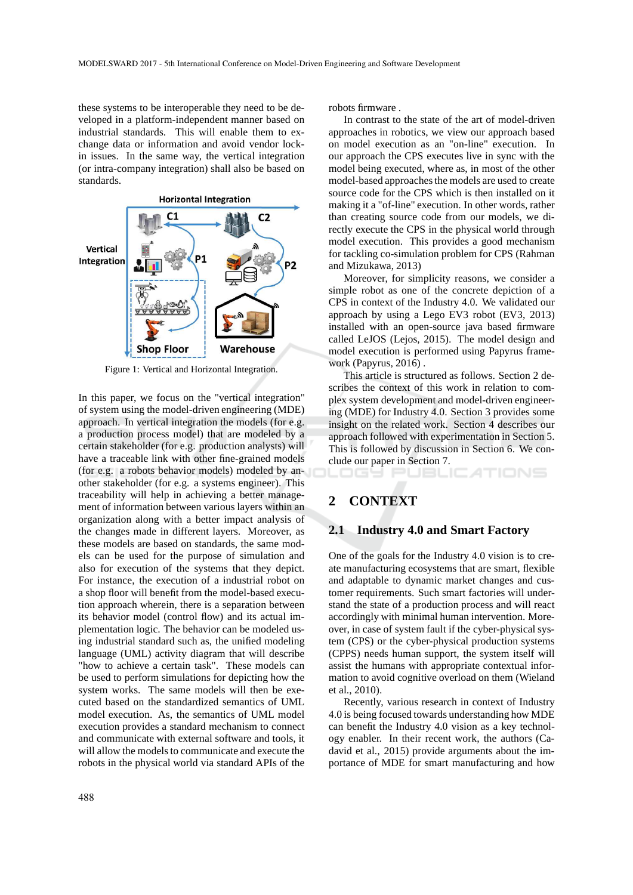these systems to be interoperable they need to be developed in a platform-independent manner based on industrial standards. This will enable them to exchange data or information and avoid vendor lockin issues. In the same way, the vertical integration (or intra-company integration) shall also be based on standards.



Figure 1: Vertical and Horizontal Integration.

In this paper, we focus on the "vertical integration" of system using the model-driven engineering (MDE) approach. In vertical integration the models (for e.g. a production process model) that are modeled by a certain stakeholder (for e.g. production analysts) will have a traceable link with other fine-grained models (for e.g. a robots behavior models) modeled by another stakeholder (for e.g. a systems engineer). This traceability will help in achieving a better management of information between various layers within an organization along with a better impact analysis of the changes made in different layers. Moreover, as these models are based on standards, the same models can be used for the purpose of simulation and also for execution of the systems that they depict. For instance, the execution of a industrial robot on a shop floor will benefit from the model-based execution approach wherein, there is a separation between its behavior model (control flow) and its actual implementation logic. The behavior can be modeled using industrial standard such as, the unified modeling language (UML) activity diagram that will describe "how to achieve a certain task". These models can be used to perform simulations for depicting how the system works. The same models will then be executed based on the standardized semantics of UML model execution. As, the semantics of UML model execution provides a standard mechanism to connect and communicate with external software and tools, it will allow the models to communicate and execute the robots in the physical world via standard APIs of the

robots firmware .

In contrast to the state of the art of model-driven approaches in robotics, we view our approach based on model execution as an "on-line" execution. In our approach the CPS executes live in sync with the model being executed, where as, in most of the other model-based approaches the models are used to create source code for the CPS which is then installed on it making it a "of-line" execution. In other words, rather than creating source code from our models, we directly execute the CPS in the physical world through model execution. This provides a good mechanism for tackling co-simulation problem for CPS (Rahman and Mizukawa, 2013)

Moreover, for simplicity reasons, we consider a simple robot as one of the concrete depiction of a CPS in context of the Industry 4.0. We validated our approach by using a Lego EV3 robot (EV3, 2013) installed with an open-source java based firmware called LeJOS (Lejos, 2015). The model design and model execution is performed using Papyrus framework (Papyrus, 2016) .

This article is structured as follows. Section 2 describes the context of this work in relation to complex system development and model-driven engineering (MDE) for Industry 4.0. Section 3 provides some insight on the related work. Section 4 describes our approach followed with experimentation in Section 5. This is followed by discussion in Section 6. We conclude our paper in Section 7.

## LOGY PUBLICATIONS

## **2 CONTEXT**

### **2.1 Industry 4.0 and Smart Factory**

One of the goals for the Industry 4.0 vision is to create manufacturing ecosystems that are smart, flexible and adaptable to dynamic market changes and customer requirements. Such smart factories will understand the state of a production process and will react accordingly with minimal human intervention. Moreover, in case of system fault if the cyber-physical system (CPS) or the cyber-physical production systems (CPPS) needs human support, the system itself will assist the humans with appropriate contextual information to avoid cognitive overload on them (Wieland et al., 2010).

Recently, various research in context of Industry 4.0 is being focused towards understanding how MDE can benefit the Industry 4.0 vision as a key technology enabler. In their recent work, the authors (Cadavid et al., 2015) provide arguments about the importance of MDE for smart manufacturing and how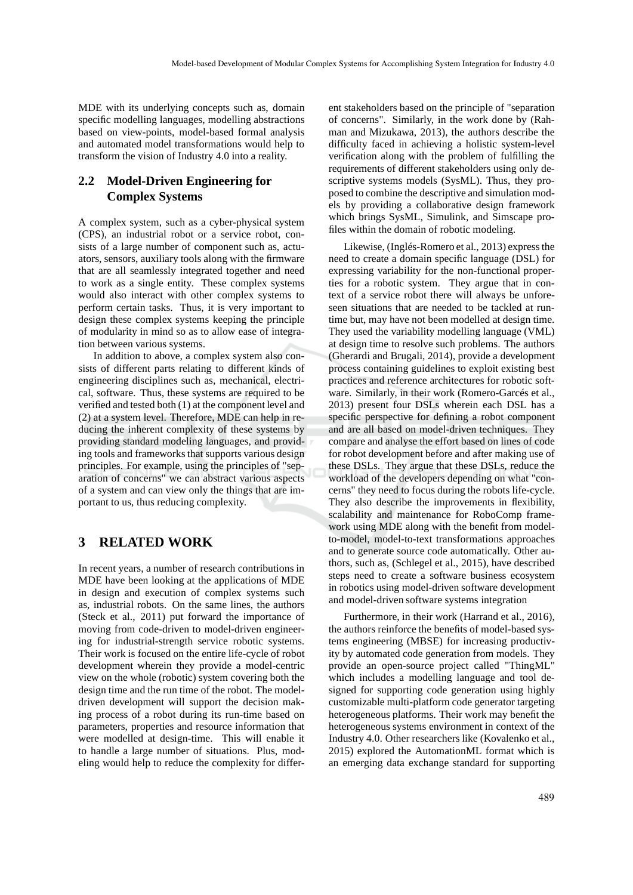MDE with its underlying concepts such as, domain specific modelling languages, modelling abstractions based on view-points, model-based formal analysis and automated model transformations would help to transform the vision of Industry 4.0 into a reality.

## **2.2 Model-Driven Engineering for Complex Systems**

A complex system, such as a cyber-physical system (CPS), an industrial robot or a service robot, consists of a large number of component such as, actuators, sensors, auxiliary tools along with the firmware that are all seamlessly integrated together and need to work as a single entity. These complex systems would also interact with other complex systems to perform certain tasks. Thus, it is very important to design these complex systems keeping the principle of modularity in mind so as to allow ease of integration between various systems.

In addition to above, a complex system also consists of different parts relating to different kinds of engineering disciplines such as, mechanical, electrical, software. Thus, these systems are required to be verified and tested both (1) at the component level and (2) at a system level. Therefore, MDE can help in reducing the inherent complexity of these systems by providing standard modeling languages, and providing tools and frameworks that supports various design principles. For example, using the principles of "separation of concerns" we can abstract various aspects of a system and can view only the things that are important to us, thus reducing complexity.

# **3 RELATED WORK**

In recent years, a number of research contributions in MDE have been looking at the applications of MDE in design and execution of complex systems such as, industrial robots. On the same lines, the authors (Steck et al., 2011) put forward the importance of moving from code-driven to model-driven engineering for industrial-strength service robotic systems. Their work is focused on the entire life-cycle of robot development wherein they provide a model-centric view on the whole (robotic) system covering both the design time and the run time of the robot. The modeldriven development will support the decision making process of a robot during its run-time based on parameters, properties and resource information that were modelled at design-time. This will enable it to handle a large number of situations. Plus, modeling would help to reduce the complexity for different stakeholders based on the principle of "separation of concerns". Similarly, in the work done by (Rahman and Mizukawa, 2013), the authors describe the difficulty faced in achieving a holistic system-level verification along with the problem of fulfilling the requirements of different stakeholders using only descriptive systems models (SysML). Thus, they proposed to combine the descriptive and simulation models by providing a collaborative design framework which brings SysML, Simulink, and Simscape profiles within the domain of robotic modeling.

Likewise, (Inglés-Romero et al., 2013) express the need to create a domain specific language (DSL) for expressing variability for the non-functional properties for a robotic system. They argue that in context of a service robot there will always be unforeseen situations that are needed to be tackled at runtime but, may have not been modelled at design time. They used the variability modelling language (VML) at design time to resolve such problems. The authors (Gherardi and Brugali, 2014), provide a development process containing guidelines to exploit existing best practices and reference architectures for robotic software. Similarly, in their work (Romero-Garcés et al., 2013) present four DSLs wherein each DSL has a specific perspective for defining a robot component and are all based on model-driven techniques. They compare and analyse the effort based on lines of code for robot development before and after making use of these DSLs. They argue that these DSLs, reduce the workload of the developers depending on what "concerns" they need to focus during the robots life-cycle. They also describe the improvements in flexibility, scalability and maintenance for RoboComp framework using MDE along with the benefit from modelto-model, model-to-text transformations approaches and to generate source code automatically. Other authors, such as, (Schlegel et al., 2015), have described steps need to create a software business ecosystem in robotics using model-driven software development and model-driven software systems integration

Furthermore, in their work (Harrand et al., 2016), the authors reinforce the benefits of model-based systems engineering (MBSE) for increasing productivity by automated code generation from models. They provide an open-source project called "ThingML" which includes a modelling language and tool designed for supporting code generation using highly customizable multi-platform code generator targeting heterogeneous platforms. Their work may benefit the heterogeneous systems environment in context of the Industry 4.0. Other researchers like (Kovalenko et al., 2015) explored the AutomationML format which is an emerging data exchange standard for supporting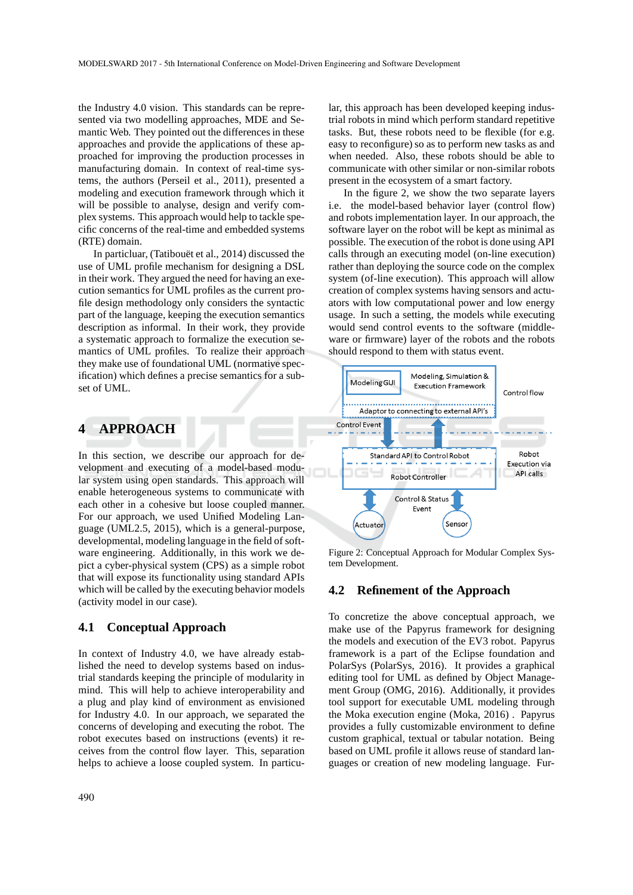the Industry 4.0 vision. This standards can be represented via two modelling approaches, MDE and Semantic Web. They pointed out the differences in these approaches and provide the applications of these approached for improving the production processes in manufacturing domain. In context of real-time systems, the authors (Perseil et al., 2011), presented a modeling and execution framework through which it will be possible to analyse, design and verify complex systems. This approach would help to tackle specific concerns of the real-time and embedded systems (RTE) domain.

In particluar, (Tatibouët et al., 2014) discussed the use of UML profile mechanism for designing a DSL in their work. They argued the need for having an execution semantics for UML profiles as the current profile design methodology only considers the syntactic part of the language, keeping the execution semantics description as informal. In their work, they provide a systematic approach to formalize the execution semantics of UML profiles. To realize their approach they make use of foundational UML (normative specification) which defines a precise semantics for a subset of UML.

## **4 APPROACH**

In this section, we describe our approach for development and executing of a model-based modular system using open standards. This approach will enable heterogeneous systems to communicate with each other in a cohesive but loose coupled manner. For our approach, we used Unified Modeling Language (UML2.5, 2015), which is a general-purpose, developmental, modeling language in the field of software engineering. Additionally, in this work we depict a cyber-physical system (CPS) as a simple robot that will expose its functionality using standard APIs which will be called by the executing behavior models (activity model in our case).

## **4.1 Conceptual Approach**

In context of Industry 4.0, we have already established the need to develop systems based on industrial standards keeping the principle of modularity in mind. This will help to achieve interoperability and a plug and play kind of environment as envisioned for Industry 4.0. In our approach, we separated the concerns of developing and executing the robot. The robot executes based on instructions (events) it receives from the control flow layer. This, separation helps to achieve a loose coupled system. In particu-

lar, this approach has been developed keeping industrial robots in mind which perform standard repetitive tasks. But, these robots need to be flexible (for e.g. easy to reconfigure) so as to perform new tasks as and when needed. Also, these robots should be able to communicate with other similar or non-similar robots present in the ecosystem of a smart factory.

In the figure 2, we show the two separate layers i.e. the model-based behavior layer (control flow) and robots implementation layer. In our approach, the software layer on the robot will be kept as minimal as possible. The execution of the robot is done using API calls through an executing model (on-line execution) rather than deploying the source code on the complex system (of-line execution). This approach will allow creation of complex systems having sensors and actuators with low computational power and low energy usage. In such a setting, the models while executing would send control events to the software (middleware or firmware) layer of the robots and the robots should respond to them with status event.



Figure 2: Conceptual Approach for Modular Complex System Development.

#### **4.2 Refinement of the Approach**

To concretize the above conceptual approach, we make use of the Papyrus framework for designing the models and execution of the EV3 robot. Papyrus framework is a part of the Eclipse foundation and PolarSys (PolarSys, 2016). It provides a graphical editing tool for UML as defined by Object Management Group (OMG, 2016). Additionally, it provides tool support for executable UML modeling through the Moka execution engine (Moka, 2016) . Papyrus provides a fully customizable environment to define custom graphical, textual or tabular notation. Being based on UML profile it allows reuse of standard languages or creation of new modeling language. Fur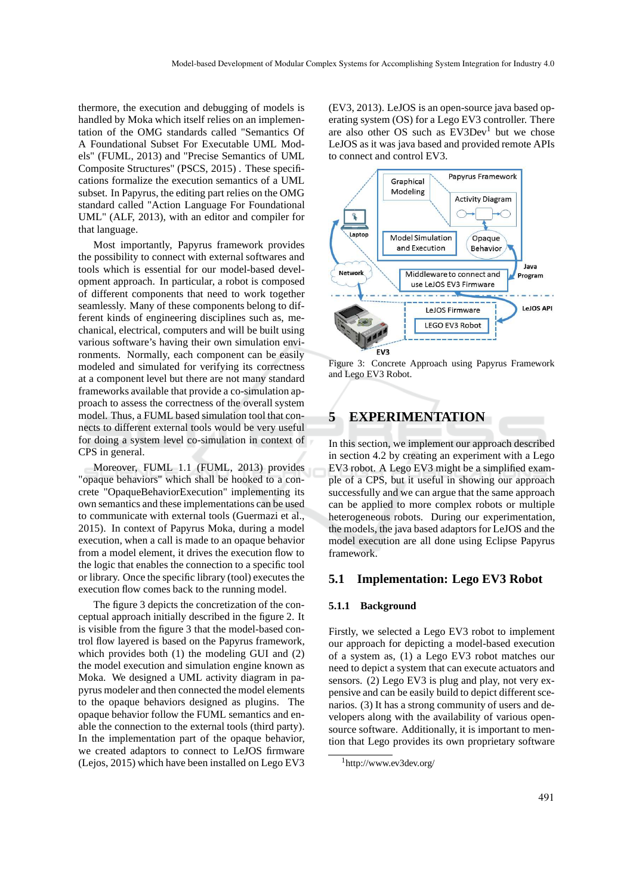thermore, the execution and debugging of models is handled by Moka which itself relies on an implementation of the OMG standards called "Semantics Of A Foundational Subset For Executable UML Models" (FUML, 2013) and "Precise Semantics of UML Composite Structures" (PSCS, 2015) . These specifications formalize the execution semantics of a UML subset. In Papyrus, the editing part relies on the OMG standard called "Action Language For Foundational UML" (ALF, 2013), with an editor and compiler for that language.

Most importantly, Papyrus framework provides the possibility to connect with external softwares and tools which is essential for our model-based development approach. In particular, a robot is composed of different components that need to work together seamlessly. Many of these components belong to different kinds of engineering disciplines such as, mechanical, electrical, computers and will be built using various software's having their own simulation environments. Normally, each component can be easily modeled and simulated for verifying its correctness at a component level but there are not many standard frameworks available that provide a co-simulation approach to assess the correctness of the overall system model. Thus, a FUML based simulation tool that connects to different external tools would be very useful for doing a system level co-simulation in context of CPS in general.

Moreover, FUML 1.1 (FUML, 2013) provides "opaque behaviors" which shall be hooked to a concrete "OpaqueBehaviorExecution" implementing its own semantics and these implementations can be used to communicate with external tools (Guermazi et al., 2015). In context of Papyrus Moka, during a model execution, when a call is made to an opaque behavior from a model element, it drives the execution flow to the logic that enables the connection to a specific tool or library. Once the specific library (tool) executes the execution flow comes back to the running model.

The figure 3 depicts the concretization of the conceptual approach initially described in the figure 2. It is visible from the figure 3 that the model-based control flow layered is based on the Papyrus framework, which provides both (1) the modeling GUI and (2) the model execution and simulation engine known as Moka. We designed a UML activity diagram in papyrus modeler and then connected the model elements to the opaque behaviors designed as plugins. The opaque behavior follow the FUML semantics and enable the connection to the external tools (third party). In the implementation part of the opaque behavior, we created adaptors to connect to LeJOS firmware (Lejos, 2015) which have been installed on Lego EV3

(EV3, 2013). LeJOS is an open-source java based operating system (OS) for a Lego EV3 controller. There are also other OS such as EV3Dev<sup>1</sup> but we chose LeJOS as it was java based and provided remote APIs to connect and control EV3.



Figure 3: Concrete Approach using Papyrus Framework and Lego EV3 Robot.

# **5 EXPERIMENTATION**

In this section, we implement our approach described in section 4.2 by creating an experiment with a Lego EV3 robot. A Lego EV3 might be a simplified example of a CPS, but it useful in showing our approach successfully and we can argue that the same approach can be applied to more complex robots or multiple heterogeneous robots. During our experimentation, the models, the java based adaptors for LeJOS and the model execution are all done using Eclipse Papyrus framework.

## **5.1 Implementation: Lego EV3 Robot**

#### **5.1.1 Background**

Firstly, we selected a Lego EV3 robot to implement our approach for depicting a model-based execution of a system as, (1) a Lego EV3 robot matches our need to depict a system that can execute actuators and sensors. (2) Lego EV3 is plug and play, not very expensive and can be easily build to depict different scenarios. (3) It has a strong community of users and developers along with the availability of various opensource software. Additionally, it is important to mention that Lego provides its own proprietary software

<sup>1</sup>http://www.ev3dev.org/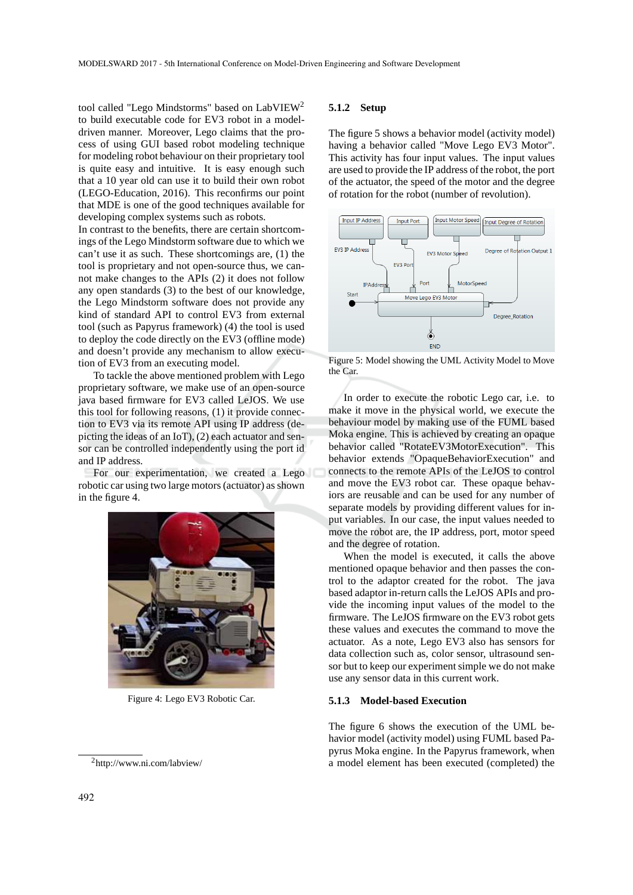tool called "Lego Mindstorms" based on LabVIEW<sup>2</sup> to build executable code for EV3 robot in a modeldriven manner. Moreover, Lego claims that the process of using GUI based robot modeling technique for modeling robot behaviour on their proprietary tool is quite easy and intuitive. It is easy enough such that a 10 year old can use it to build their own robot (LEGO-Education, 2016). This reconfirms our point that MDE is one of the good techniques available for developing complex systems such as robots.

In contrast to the benefits, there are certain shortcomings of the Lego Mindstorm software due to which we can't use it as such. These shortcomings are, (1) the tool is proprietary and not open-source thus, we cannot make changes to the APIs (2) it does not follow any open standards (3) to the best of our knowledge, the Lego Mindstorm software does not provide any kind of standard API to control EV3 from external tool (such as Papyrus framework) (4) the tool is used to deploy the code directly on the EV3 (offline mode) and doesn't provide any mechanism to allow execution of EV3 from an executing model.

To tackle the above mentioned problem with Lego proprietary software, we make use of an open-source java based firmware for EV3 called LeJOS. We use this tool for following reasons, (1) it provide connection to EV3 via its remote API using IP address (depicting the ideas of an IoT), (2) each actuator and sensor can be controlled independently using the port id and IP address.

For our experimentation, we created a Lego robotic car using two large motors (actuator) as shown in the figure 4.



Figure 4: Lego EV3 Robotic Car.

#### **5.1.2 Setup**

The figure 5 shows a behavior model (activity model) having a behavior called "Move Lego EV3 Motor". This activity has four input values. The input values are used to provide the IP address of the robot, the port of the actuator, the speed of the motor and the degree of rotation for the robot (number of revolution).



Figure 5: Model showing the UML Activity Model to Move the Car.

In order to execute the robotic Lego car, i.e. to make it move in the physical world, we execute the behaviour model by making use of the FUML based Moka engine. This is achieved by creating an opaque behavior called "RotateEV3MotorExecution". This behavior extends "OpaqueBehaviorExecution" and connects to the remote APIs of the LeJOS to control and move the EV3 robot car. These opaque behaviors are reusable and can be used for any number of separate models by providing different values for input variables. In our case, the input values needed to move the robot are, the IP address, port, motor speed and the degree of rotation.

When the model is executed, it calls the above mentioned opaque behavior and then passes the control to the adaptor created for the robot. The java based adaptor in-return calls the LeJOS APIs and provide the incoming input values of the model to the firmware. The LeJOS firmware on the EV3 robot gets these values and executes the command to move the actuator. As a note, Lego EV3 also has sensors for data collection such as, color sensor, ultrasound sensor but to keep our experiment simple we do not make use any sensor data in this current work.

#### **5.1.3 Model-based Execution**

The figure 6 shows the execution of the UML behavior model (activity model) using FUML based Papyrus Moka engine. In the Papyrus framework, when a model element has been executed (completed) the

<sup>2</sup>http://www.ni.com/labview/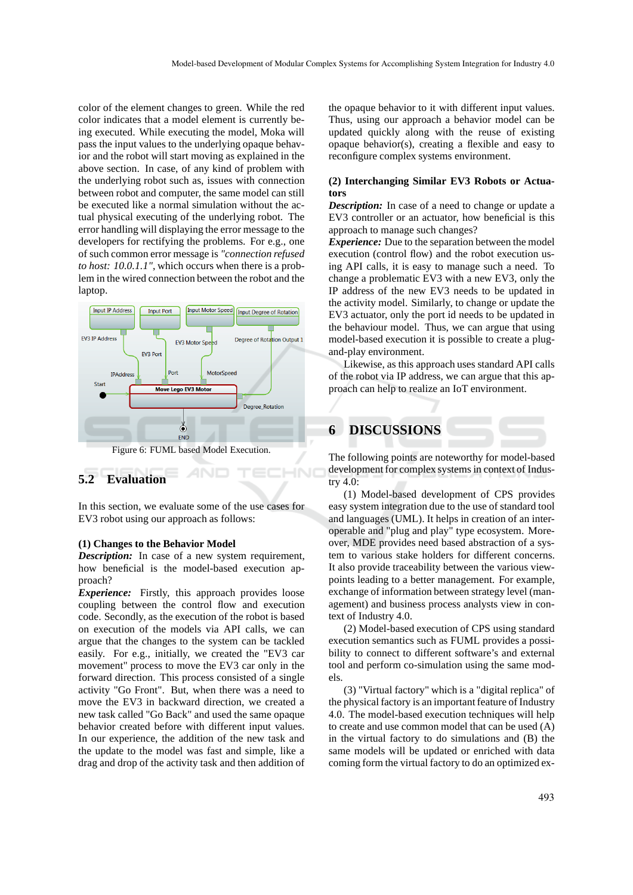color of the element changes to green. While the red color indicates that a model element is currently being executed. While executing the model, Moka will pass the input values to the underlying opaque behavior and the robot will start moving as explained in the above section. In case, of any kind of problem with the underlying robot such as, issues with connection between robot and computer, the same model can still be executed like a normal simulation without the actual physical executing of the underlying robot. The error handling will displaying the error message to the developers for rectifying the problems. For e.g., one of such common error message is *"connection refused to host: 10.0.1.1"*, which occurs when there is a problem in the wired connection between the robot and the laptop.



# **5.2 Evaluation**

In this section, we evaluate some of the use cases for EV3 robot using our approach as follows:

#### **(1) Changes to the Behavior Model**

*Description:* In case of a new system requirement, how beneficial is the model-based execution approach?

*Experience:* Firstly, this approach provides loose coupling between the control flow and execution code. Secondly, as the execution of the robot is based on execution of the models via API calls, we can argue that the changes to the system can be tackled easily. For e.g., initially, we created the "EV3 car movement" process to move the EV3 car only in the forward direction. This process consisted of a single activity "Go Front". But, when there was a need to move the EV3 in backward direction, we created a new task called "Go Back" and used the same opaque behavior created before with different input values. In our experience, the addition of the new task and the update to the model was fast and simple, like a drag and drop of the activity task and then addition of

the opaque behavior to it with different input values. Thus, using our approach a behavior model can be updated quickly along with the reuse of existing opaque behavior(s), creating a flexible and easy to reconfigure complex systems environment.

#### **(2) Interchanging Similar EV3 Robots or Actuators**

*Description:* In case of a need to change or update a EV3 controller or an actuator, how beneficial is this approach to manage such changes?

*Experience:* Due to the separation between the model execution (control flow) and the robot execution using API calls, it is easy to manage such a need. To change a problematic EV3 with a new EV3, only the IP address of the new EV3 needs to be updated in the activity model. Similarly, to change or update the EV3 actuator, only the port id needs to be updated in the behaviour model. Thus, we can argue that using model-based execution it is possible to create a plugand-play environment.

Likewise, as this approach uses standard API calls of the robot via IP address, we can argue that this approach can help to realize an IoT environment.

## **6 DISCUSSIONS**

The following points are noteworthy for model-based development for complex systems in context of Industry 4.0:

(1) Model-based development of CPS provides easy system integration due to the use of standard tool and languages (UML). It helps in creation of an interoperable and "plug and play" type ecosystem. Moreover, MDE provides need based abstraction of a system to various stake holders for different concerns. It also provide traceability between the various viewpoints leading to a better management. For example, exchange of information between strategy level (management) and business process analysts view in context of Industry 4.0.

(2) Model-based execution of CPS using standard execution semantics such as FUML provides a possibility to connect to different software's and external tool and perform co-simulation using the same models.

(3) "Virtual factory" which is a "digital replica" of the physical factory is an important feature of Industry 4.0. The model-based execution techniques will help to create and use common model that can be used (A) in the virtual factory to do simulations and (B) the same models will be updated or enriched with data coming form the virtual factory to do an optimized ex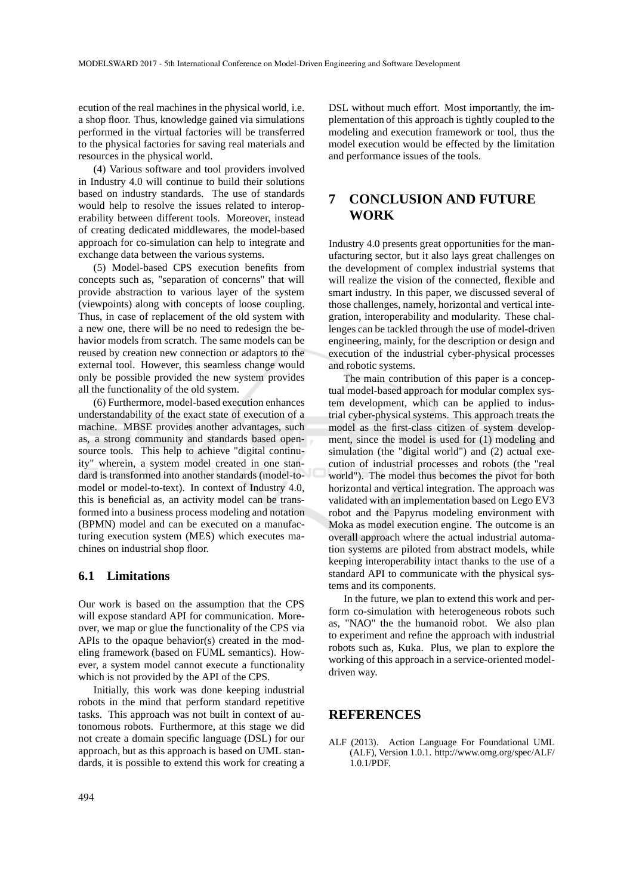ecution of the real machines in the physical world, i.e. a shop floor. Thus, knowledge gained via simulations performed in the virtual factories will be transferred to the physical factories for saving real materials and resources in the physical world.

(4) Various software and tool providers involved in Industry 4.0 will continue to build their solutions based on industry standards. The use of standards would help to resolve the issues related to interoperability between different tools. Moreover, instead of creating dedicated middlewares, the model-based approach for co-simulation can help to integrate and exchange data between the various systems.

(5) Model-based CPS execution benefits from concepts such as, "separation of concerns" that will provide abstraction to various layer of the system (viewpoints) along with concepts of loose coupling. Thus, in case of replacement of the old system with a new one, there will be no need to redesign the behavior models from scratch. The same models can be reused by creation new connection or adaptors to the external tool. However, this seamless change would only be possible provided the new system provides all the functionality of the old system.

(6) Furthermore, model-based execution enhances understandability of the exact state of execution of a machine. MBSE provides another advantages, such as, a strong community and standards based opensource tools. This help to achieve "digital continuity" wherein, a system model created in one standard is transformed into another standards (model-tomodel or model-to-text). In context of Industry 4.0, this is beneficial as, an activity model can be transformed into a business process modeling and notation (BPMN) model and can be executed on a manufacturing execution system (MES) which executes machines on industrial shop floor.

## **6.1 Limitations**

Our work is based on the assumption that the CPS will expose standard API for communication. Moreover, we map or glue the functionality of the CPS via APIs to the opaque behavior(s) created in the modeling framework (based on FUML semantics). However, a system model cannot execute a functionality which is not provided by the API of the CPS.

Initially, this work was done keeping industrial robots in the mind that perform standard repetitive tasks. This approach was not built in context of autonomous robots. Furthermore, at this stage we did not create a domain specific language (DSL) for our approach, but as this approach is based on UML standards, it is possible to extend this work for creating a DSL without much effort. Most importantly, the implementation of this approach is tightly coupled to the modeling and execution framework or tool, thus the model execution would be effected by the limitation and performance issues of the tools.

# **7 CONCLUSION AND FUTURE WORK**

Industry 4.0 presents great opportunities for the manufacturing sector, but it also lays great challenges on the development of complex industrial systems that will realize the vision of the connected, flexible and smart industry. In this paper, we discussed several of those challenges, namely, horizontal and vertical integration, interoperability and modularity. These challenges can be tackled through the use of model-driven engineering, mainly, for the description or design and execution of the industrial cyber-physical processes and robotic systems.

The main contribution of this paper is a conceptual model-based approach for modular complex system development, which can be applied to industrial cyber-physical systems. This approach treats the model as the first-class citizen of system development, since the model is used for (1) modeling and simulation (the "digital world") and (2) actual execution of industrial processes and robots (the "real world"). The model thus becomes the pivot for both horizontal and vertical integration. The approach was validated with an implementation based on Lego EV3 robot and the Papyrus modeling environment with Moka as model execution engine. The outcome is an overall approach where the actual industrial automation systems are piloted from abstract models, while keeping interoperability intact thanks to the use of a standard API to communicate with the physical systems and its components.

In the future, we plan to extend this work and perform co-simulation with heterogeneous robots such as, "NAO" the the humanoid robot. We also plan to experiment and refine the approach with industrial robots such as, Kuka. Plus, we plan to explore the working of this approach in a service-oriented modeldriven way.

## **REFERENCES**

ALF (2013). Action Language For Foundational UML (ALF), Version 1.0.1. http://www.omg.org/spec/ALF/ 1.0.1/PDF.